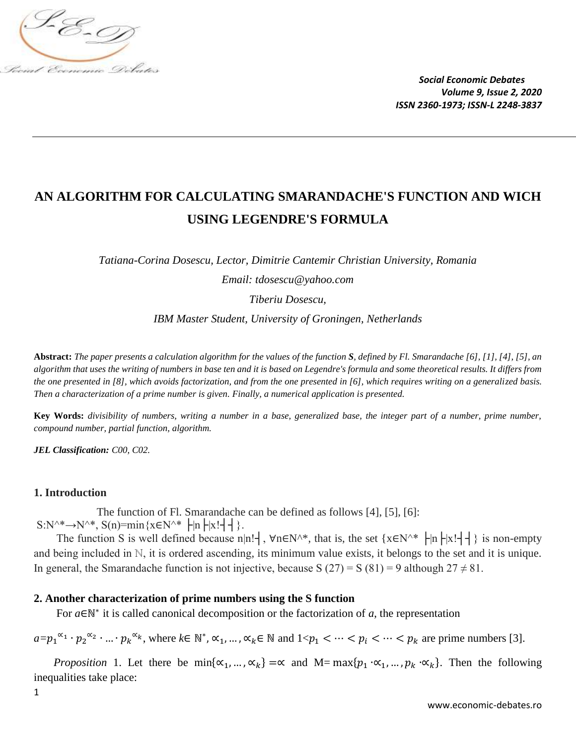

# **AN ALGORITHM FOR CALCULATING SMARANDACHE'S FUNCTION AND WICH USING LEGENDRE'S FORMULA**

*Tatiana-Corina Dosescu, Lector, Dimitrie Cantemir Christian University, Romania*

*Email: tdosescu@yahoo.com*

*Tiberiu Dosescu,*

*IBM Master Student, University of Groningen, Netherlands*

**Abstract:** *The paper presents a calculation algorithm for the values of the function S, defined by Fl. Smarandache [6], [1], [4], [5], an algorithm that uses the writing of numbers in base ten and it is based on Legendre's formula and some theoretical results. It differs from the one presented in [8], which avoids factorization, and from the one presented in [6], which requires writing on a generalized basis. Then a characterization of a prime number is given. Finally, a numerical application is presented.*

**Key Words:** *divisibility of numbers, writing a number in a base, generalized base, the integer part of a number, prime number, compound number, partial function, algorithm.*

*JEL Classification: C00, C02.*

# **1. Introduction**

 The function of Fl. Smarandache can be defined as follows [4], [5], [6]:  $S:N^* \rightarrow N^*$ ,  $S(n) = min\{x \in N^* \mid |n| \mid x! \mid \}$ .

The function S is well defined because n|n!┤, ∀n∈N^\*, that is, the set {x∈N^\* ├|n├|x!┤┤} is non-empty and being included in ℕ, it is ordered ascending, its minimum value exists, it belongs to the set and it is unique. In general, the Smarandache function is not injective, because S  $(27) = S (81) = 9$  although  $27 \neq 81$ .

# **2. Another characterization of prime numbers using the S function**

For  $a \in \mathbb{N}^*$  it is called canonical decomposition or the factorization of  $a$ , the representation

 $a=p_1^{\alpha_1} \cdot p_2^{\alpha_2} \cdot ... \cdot p_k^{\alpha_k}$ , where  $k \in \mathbb{N}^*$ ,  $\alpha_1, ..., \alpha_k \in \mathbb{N}$  and  $1 < p_1 < ... < p_i < ... < p_k$  are prime numbers [3].

*Proposition* 1. Let there be min{ $\alpha_1, ..., \alpha_k$ } =  $\alpha$  and M= max{ $p_1 \cdot \alpha_1, ..., p_k \cdot \alpha_k$ }. Then the following inequalities take place: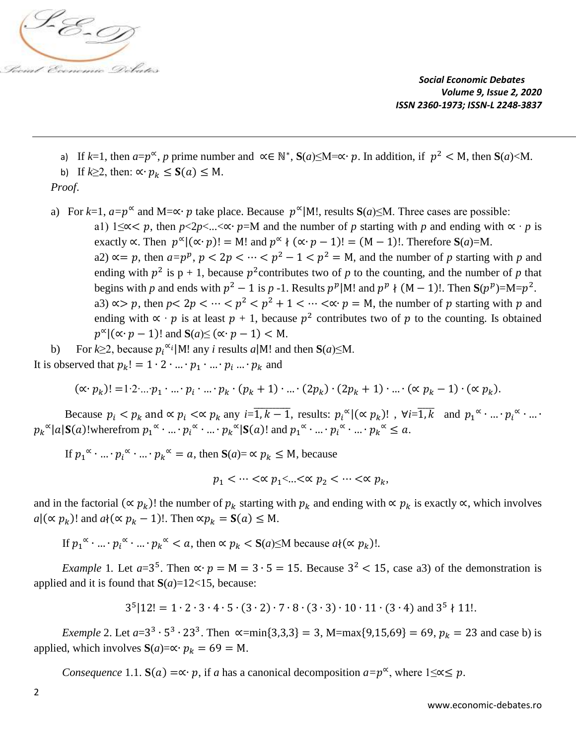

a) If  $k=1$ , then  $a=p^{\infty}$ , p prime number and  $\alpha \in \mathbb{N}^*$ ,  $S(a) \le M = \alpha \cdot p$ . In addition, if  $p^2 < M$ , then  $S(a) < M$ . b) If  $k \geq 2$ , then:  $\propto p_k \leq S(a) \leq M$ .

 *Proof*.

a) For  $k=1$ ,  $a=p^{\infty}$  and  $M=\infty \cdot p$  take place. Because  $p^{\infty}|M!$ , results  $S(a) \leq M$ . Three cases are possible:

a1) 1≤∝ p, then  $p$ <2 $p$  < ... < ∞ •  $p$  =M and the number of p starting with p and ending with  $\alpha \cdot p$  is exactly  $\propto$ . Then  $p^{\alpha}|(\propto p)! = M!$  and  $p^{\alpha} \nmid (\propto p-1)! = (M-1)!$ . Therefore  $S(a)=M$ . a2)  $\alpha = p$ , then  $a = p^p$ ,  $p < 2p < \cdots < p^2 - 1 < p^2 = M$ , and the number of p starting with p and ending with  $p^2$  is  $p + 1$ , because  $p^2$  contributes two of *p* to the counting, and the number of *p* that begins with *p* and ends with  $p^2 - 1$  is *p* -1. Results  $p^p |M!$  and  $p^p \nmid (M - 1)!$ . Then  $S(p^p)=M=p^2$ . a3)  $\infty$  p, then  $p < 2p < \cdots < p^2 < p^2 + 1 < \cdots < \infty$  p = M, the number of p starting with p and ending with  $\propto \cdot p$  is at least  $p + 1$ , because  $p^2$  contributes two of p to the counting. Is obtained  $p^{\alpha} | (\alpha \cdot p - 1)!$  and  $S(a) \leq (\alpha \cdot p - 1) < M$ .

b) For  $k \ge 2$ , because  $p_i^{\alpha_i} | M!$  any *i* results *a*|M! and then **S**(*a*)≤M. It is observed that  $p_k! = 1 \cdot 2 \cdot ... \cdot p_1 \cdot ... \cdot p_i ... \cdot p_k$  and

$$
(\propto p_k)! = 1 \cdot 2 \cdot \ldots \cdot p_1 \cdot \ldots \cdot p_i \cdot \ldots \cdot p_k \cdot (p_k + 1) \cdot \ldots \cdot (2p_k) \cdot (2p_k + 1) \cdot \ldots \cdot (\propto p_k - 1) \cdot (\propto p_k).
$$

Because  $p_i < p_k$  and  $\propto p_i \ll p_k$  any  $i = \overline{1, k - 1}$ , results:  $p_i^{\alpha} | (\propto p_k) |$ ,  $\forall i = \overline{1, k}$  and  $p_1^{\alpha} \cdot ... \cdot p_i^{\alpha} \cdot ...$  $p_k^{\alpha} |a| S(a)$ !wherefrom  $p_1^{\alpha} \cdot ... \cdot p_i^{\alpha} \cdot ... \cdot p_k^{\alpha} |S(a)|$  and  $p_1^{\alpha} \cdot ... \cdot p_i^{\alpha} \cdot ... \cdot p_k^{\alpha} \le a$ .

If  $p_1^{\alpha} \cdot ... \cdot p_i^{\alpha} \cdot ... \cdot p_k^{\alpha} = a$ , then  $S(a) = \alpha p_k \le M$ , because

 $p_1 < \cdots < \alpha \ p_1 < \ldots < \alpha \ p_2 < \cdots < \alpha \ p_k$ 

and in the factorial ( $\propto p_k$ )! the number of  $p_k$  starting with  $p_k$  and ending with  $\propto p_k$  is exactly  $\propto$ , which involves  $a | (\propto p_k)$ ! and  $a \{ (\propto p_k - 1)$ !. Then  $\propto p_k = S(a) \le M$ .

If  $p_1^{\alpha} \cdot ... \cdot p_i^{\alpha} \cdot ... \cdot p_k^{\alpha} < a$ , then  $\alpha p_k < S(a) \le M$  because  $a \{(\alpha p_k) \}$ .

*Example 1.* Let  $a=3^5$ . Then  $\propto p = M = 3 \cdot 5 = 15$ . Because  $3^2 < 15$ , case a3) of the demonstration is applied and it is found that  $S(a)=12<15$ , because:

$$
3^{5}|12! = 1 \cdot 2 \cdot 3 \cdot 4 \cdot 5 \cdot (3 \cdot 2) \cdot 7 \cdot 8 \cdot (3 \cdot 3) \cdot 10 \cdot 11 \cdot (3 \cdot 4) \text{ and } 3^{5} \nmid 11!
$$

*Exemple* 2. Let  $a=3^3 \cdot 5^3 \cdot 23^3$ . Then  $\infty = \min\{3,3,3\} = 3$ , M=max $\{9,15,69\} = 69$ ,  $p_k = 23$  and case b) is applied, which involves  $S(a) = \alpha \cdot p_k = 69 = M$ .

*Consequence* 1.1. **S**(*a*) =  $\propto$  · *p*, if *a* has a canonical decomposition *a*= $p^{\infty}$ , where 1≤ $\propto$   $\leq$  *p*.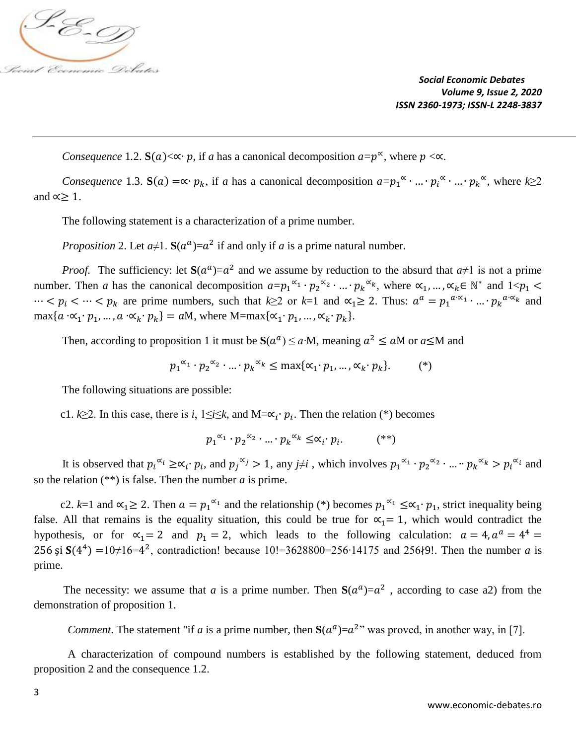

*Consequence* 1.2. **S**(*a*)< $\propto$  *p*, if *a* has a canonical decomposition *a*= $p^{\infty}$ , where  $p < \infty$ .

*Consequence* 1.3.  $S(a) = \alpha \cdot p_k$ , if *a* has a canonical decomposition  $a = p_1^{\alpha} \cdot ... \cdot p_i^{\alpha} \cdot ... \cdot p_k^{\alpha}$ , where  $k \ge 2$ and  $\alpha$  ≥ 1.

The following statement is a characterization of a prime number.

*Proposition* 2. Let  $a \neq 1$ .  $S(a^a) = a^2$  if and only if *a* is a prime natural number.

*Proof.* The sufficiency: let  $S(a^a) = a^2$  and we assume by reduction to the absurd that  $a \ne 1$  is not a prime number. Then *a* has the canonical decomposition  $a = p_1^{\alpha_1} \cdot p_2^{\alpha_2} \cdot ... \cdot p_k^{\alpha_k}$ , where  $\alpha_1, ..., \alpha_k \in \mathbb{N}^*$  and  $1 < p_1 <$  $\cdots < p_i < \cdots < p_k$  are prime numbers, such that k≥2 or k=1 and  $\alpha_1 \geq 2$ . Thus:  $a^a = p_1^{a \cdot \alpha_1} \cdot ... \cdot p_k^{a \cdot \alpha_k}$  and  $\max\{a \cdot \alpha_1 \cdot p_1, \dots, a \cdot \alpha_k \cdot p_k\} = aM$ , where  $M = \max\{\alpha_1 \cdot p_1, \dots, \alpha_k \cdot p_k\}.$ 

Then, according to proposition 1 it must be  $S(a^a) \le a \cdot M$ , meaning  $a^2 \le aM$  or  $a \le M$  and

 $p_1^{\alpha_1} \cdot p_2^{\alpha_2} \cdot ... \cdot p_k^{\alpha_k} \le \max\{\alpha_1 \cdot p_1, ..., \alpha_k \cdot p_k\}$  $(*)$ 

The following situations are possible:

c1.  $k \ge 2$ . In this case, there is *i*,  $1 \le i \le k$ , and  $M = \alpha_i \cdot p_i$ . Then the relation (\*) becomes

$$
p_1^{\alpha_1} \cdot p_2^{\alpha_2} \cdot \dots \cdot p_k^{\alpha_k} \leq \alpha_i \cdot p_i. \tag{**}
$$

It is observed that  $p_i^{\alpha_i} \geq \alpha_i \cdot p_i$ , and  $p_j^{\alpha_j} > 1$ , any  $j \neq i$ , which involves  $p_1^{\alpha_1} \cdot p_2^{\alpha_2} \cdot ... \cdot p_k^{\alpha_k} > p_i^{\alpha_i}$  and so the relation (\*\*) is false. Then the number *a* is prime.

c2. k=1 and  $\alpha_1 \ge 2$ . Then  $a = p_1^{\alpha_1}$  and the relationship (\*) becomes  $p_1^{\alpha_1} \le \alpha_1 \cdot p_1$ , strict inequality being false. All that remains is the equality situation, this could be true for  $\alpha_1 = 1$ , which would contradict the hypothesis, or for  $\alpha_1 = 2$  and  $p_1 = 2$ , which leads to the following calculation:  $a = 4$ ,  $a^a = 4^4 =$ 256 și  $S(4^4) = 10\neq 16=4^2$ , contradiction! because 10!=3628800=256⋅14175 and 256∤9!. Then the number *a* is prime.

The necessity: we assume that *a* is a prime number. Then  $S(a^a) = a^2$ , according to case a2) from the demonstration of proposition 1.

*Comment*. The statement "if *a* is a prime number, then  $S(a^a) = a^2$ " was proved, in another way, in [7].

 A characterization of compound numbers is established by the following statement, deduced from proposition 2 and the consequence 1.2.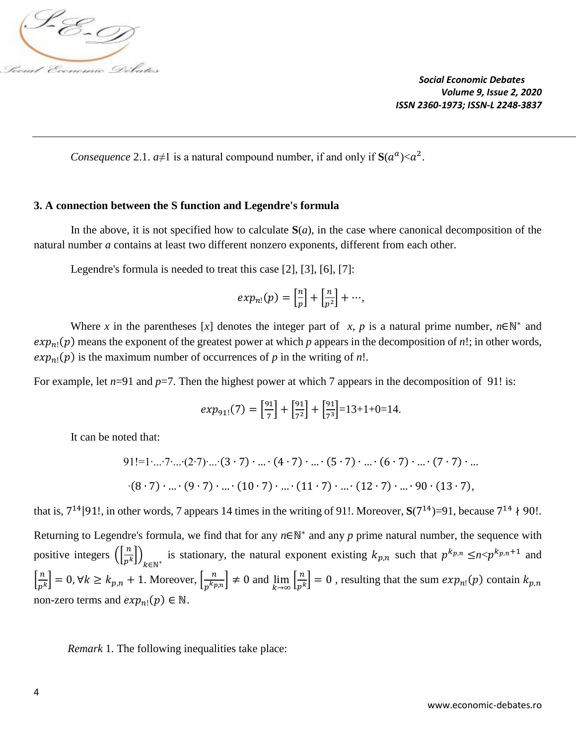

*Consequence* 2.1.  $a \neq 1$  is a natural compound number, if and only if  $S(a^a) < a^2$ .

#### **3. A connection between the S function and Legendre's formula**

In the above, it is not specified how to calculate  $S(a)$ , in the case where canonical decomposition of the natural number *a* contains at least two different nonzero exponents, different from each other.

Legendre's formula is needed to treat this case [2], [3], [6], [7]:

$$
exp_{n!}(p) = \left[\frac{n}{p}\right] + \left[\frac{n}{p^2}\right] + \cdots,
$$

Where *x* in the parentheses [*x*] denotes the integer part of *x*, *p* is a natural prime number,  $n \in \mathbb{N}^*$  and  $exp_{n}(\mathbf{p})$  means the exponent of the greatest power at which  $p$  appears in the decomposition of  $n!$ ; in other words,  $exp_{n!}(p)$  is the maximum number of occurrences of *p* in the writing of *n*!.

For example, let  $n=91$  and  $p=7$ . Then the highest power at which 7 appears in the decomposition of 91! is:

$$
exp_{91!}(7) = \left[\frac{91}{7}\right] + \left[\frac{91}{7^2}\right] + \left[\frac{91}{7^3}\right] = 13 + 1 + 0 = 14.
$$

It can be noted that:

91!=1...:7...:(2:7)...(3:7) · ... (4:7) · ... (5:7) · ... (6:7) · ... (7:7) · ...  
\n
$$
(8 \cdot 7) \cdot ... \cdot (9 \cdot 7) \cdot ... \cdot (10 \cdot 7) \cdot ... \cdot (11 \cdot 7) \cdot ... \cdot (12 \cdot 7) \cdot ... \cdot 90 \cdot (13 \cdot 7),
$$

that is,  $7^{14}$ |91!, in other words, 7 appears 14 times in the writing of 91!. Moreover,  $S(7^{14})=91$ , because  $7^{14}$   $\}$  90!. Returning to Legendre's formula, we find that for any  $n \in \mathbb{N}^*$  and any p prime natural number, the sequence with positive integers  $\left(\frac{n}{n}\right)$  $\frac{n}{p^k}$ ) is stationary, the natural exponent existing  $k_{p,n}$  such that  $p^{k_{p,n}} \leq n \leq p^{k_{p,n}+1}$  and  $k \in \mathbb{N}^*$  $\left[\frac{n}{n}\right]$  $\left[\frac{n}{p^k}\right] = 0, \forall k \ge k_{p,n} + 1.$  Moreover,  $\left[\frac{n}{p^k p}\right]$  $\left[\frac{n}{p^{k}p,n}\right] \neq 0$  and  $\lim_{k \to \infty} \left[\frac{n}{p^{k}}\right]$  $\left[\frac{n}{p^k}\right] = 0$ , resulting that the sum  $exp_{n!}(p)$  contain  $k_{p,n}$ non-zero terms and  $exp_{n!}(p) \in \mathbb{N}$ .

 *Remark* 1. The following inequalities take place: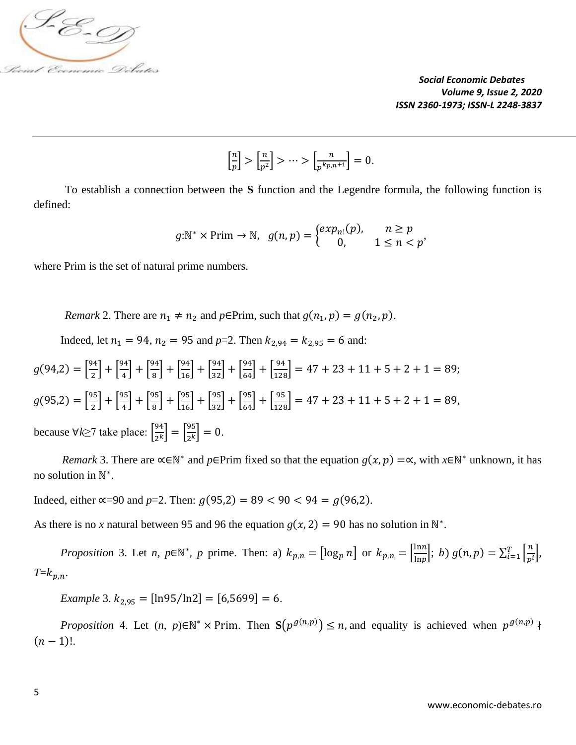

 $\left[\frac{n}{n}\right]$  $\left[\frac{n}{p}\right] > \left[\frac{n}{p^2}\right]$  $\left[\frac{n}{p^2}\right] > \cdots > \left[\frac{n}{p^{k_{p,j}}} \right]$  $\left[\frac{n}{p^{k}p,n+1}\right]=0.$ 

 To establish a connection between the **S** function and the Legendre formula, the following function is defined:

$$
g:\mathbb{N}^* \times \text{Prim} \to \mathbb{N}, \ \ g(n,p) = \begin{cases} exp_{n!}(p), & n \ge p \\ 0, & 1 \le n < p \end{cases}
$$

where Prim is the set of natural prime numbers.

*Remark* 2. There are  $n_1 \neq n_2$  and  $p \in \text{Prim}$ , such that  $g(n_1, p) = g(n_2, p)$ .

Indeed, let  $n_1 = 94$ ,  $n_2 = 95$  and  $p=2$ . Then  $k_{2,94} = k_{2,95} = 6$  and:

 $g(94,2) = \frac{94}{3}$  $\left[\frac{94}{2}\right] + \left[\frac{94}{4}\right]$  $\left[\frac{94}{4}\right] + \left[\frac{94}{8}\right]$  $\left[\frac{94}{16}\right] + \left[\frac{94}{32}\right] + \left[\frac{94}{64}\right] + \left[\frac{94}{128}\right] = 47 + 23 + 11 + 5 + 2 + 1 = 89;$  $g(95,2) = \frac{95}{3}$  $\left[\frac{95}{2}\right] + \left[\frac{95}{4}\right]$  $\left[\frac{95}{4}\right] + \left[\frac{95}{8}\right]$  $\left[\frac{95}{16}\right] + \left[\frac{95}{32}\right] + \left[\frac{95}{64}\right] + \left[\frac{95}{128}\right] = 47 + 23 + 11 + 5 + 2 + 1 = 89,$ because ∀*k*≥7 take place: [ 94  $\left[\frac{94}{2^k}\right] = \left[\frac{95}{2^k}\right]$  $\left[\frac{95}{2^k}\right] = 0.$ 

*Remark* 3. There are  $\propto \in \mathbb{N}^*$  and *p*∈Prim fixed so that the equation  $g(x, p) = \propto$ , with  $x \in \mathbb{N}^*$  unknown, it has no solution in N<sup>\*</sup>.

Indeed, either ∝=90 and *p*=2. Then:  $g(95,2) = 89 < 90 < 94 = g(96,2)$ .

As there is no *x* natural between 95 and 96 the equation  $g(x, 2) = 90$  has no solution in N<sup>\*</sup>.

*Proposition* 3. Let *n*,  $p \in \mathbb{N}^*$ , *p* prime. Then: a)  $k_{p,n} = [\log_p n]$  or  $k_{p,n} = \frac{\ln n}{\ln n}$  $\left[\frac{\ln n}{\ln p}\right]$ ; *b*)  $g(n, p) = \sum_{i=1}^{T} \left[\frac{n}{p}\right]$  $\left[\frac{r}{p^i}\right],$  $T=k_{p,n}$ .

*Example* 3.  $k_{2,95} = [\ln 95 / \ln 2] = [6, 5699] = 6.$ 

*Proposition* 4. Let  $(n, p) \in \mathbb{N}^* \times \text{Prim}$ . Then  $S(p^{g(n,p)}) \leq n$ , and equality is achieved when  $p^{g(n,p)}$  ł  $(n-1)!$ .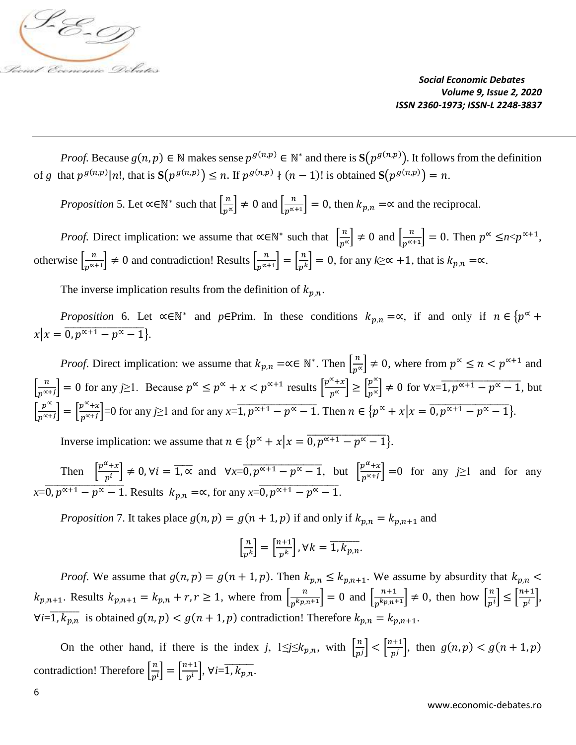

*Proof.* Because  $g(n, p) \in \mathbb{N}$  makes sense  $p^{g(n,p)} \in \mathbb{N}^*$  and there is  $S(p^{g(n,p)})$ . It follows from the definition of *g* that  $p^{g(n,p)}|n!$ , that is  $S(p^{g(n,p)}) \leq n$ . If  $p^{g(n,p)} \nmid (n-1)!$  is obtained  $S(p^{g(n,p)}) = n$ .

*Proposition* 5. Let  $\propto \in \mathbb{N}^*$  such that  $\left[\frac{n}{n^s}\right]$  $\left[\frac{n}{p^{\alpha}}\right] \neq 0$  and  $\left[\frac{n}{p^{\alpha+1}}\right]$  $\left[\frac{n}{p^{\alpha+1}}\right] = 0$ , then  $k_{p,n} = \infty$  and the reciprocal.

*Proof.* Direct implication: we assume that  $\alpha \in \mathbb{N}^*$  such that  $\left[\frac{n}{n^o}\right]$  $\left[\frac{n}{p^{\alpha}}\right] \neq 0$  and  $\left[\frac{n}{p^{\alpha}}\right]$  $\left[\frac{n}{p^{\alpha+1}}\right] = 0$ . Then  $p^{\alpha} \leq n \leq p^{\alpha+1}$ , otherwise  $\left[\frac{n}{n^{\alpha}}\right]$  $\left[\frac{n}{p^{\alpha+1}}\right] \neq 0$  and contradiction! Results  $\left[\frac{n}{p^{\alpha}}\right]$  $\left[\frac{n}{p^{\alpha+1}}\right] = \left[\frac{n}{p^k}\right]$  $\left[\frac{n}{p^k}\right] = 0$ , for any  $k \ge \infty + 1$ , that is  $k_{p,n} = \infty$ .

The inverse implication results from the definition of  $k_{p,n}$ .

*Proposition* 6. Let  $\alpha \in \mathbb{N}^*$  and  $p \in \text{Prim}$ . In these conditions  $k_{p,n} = \alpha$ , if and only if  $n \in \{p^{\alpha} + \alpha\}$  $x | x = 0, p^{\alpha+1} - p^{\alpha} - 1$ .

*Proof.* Direct implication: we assume that  $k_{p,n} = \alpha \in \mathbb{N}^*$ . Then  $\left[\frac{n}{n^s}\right]$  $\left\lfloor \frac{n}{p^{\alpha}} \right\rfloor \neq 0$ , where from  $p^{\alpha} \leq n < p^{\alpha+1}$  and  $\left[\frac{n}{n^{\alpha}}\right]$  $\left[\frac{n}{p^{\alpha+1}}\right] = 0$  for any *j*≥1. Because  $p^{\alpha} \leq p^{\alpha} + x < p^{\alpha+1}$  results  $\left[\frac{p^{\alpha}+x}{p^{\alpha}}\right]$  $\left[\frac{\alpha}{p^{\alpha}}+x\right] \geq \left[\frac{p^{\alpha}}{p^{\alpha}}\right]$  $\left[\frac{p^{\infty}}{p^{\infty}}\right] \neq 0$  for  $\forall x = \overline{1, p^{\infty+1} - p^{\infty} - 1}$ , but  $\left[\frac{p^{\alpha}}{p^{\alpha+1}}\right]$  $\left[\frac{p^{\alpha}}{p^{\alpha+j}}\right] = \left[\frac{p^{\alpha}+x}{p^{\alpha+j}}\right]$  $\left[\frac{p^{\alpha}+x}{p^{\alpha}+j}\right]$  =0 for any *j*≥1 and for any *x*= $\overline{1, p^{\alpha+1}-p^{\alpha}-1}$ . Then  $n \in \{p^{\alpha}+x \mid x = \overline{0, p^{\alpha+1}-p^{\alpha}-1}\}$ .

Inverse implication: we assume that  $n \in \{p^{\alpha} + x | x = 0, p^{\alpha+1} - p^{\alpha} - 1\}$ .

Then  $\left[\frac{p^{\alpha}+x}{n}\right]$  $\left[\frac{\alpha}{p^i} + \alpha\right] \neq 0$ ,  $\forall i = \overline{1, \infty}$  and  $\forall x = 0, p^{\alpha+1} - p^{\alpha} - 1$ , but  $\left[\frac{p^{\alpha+1}}{p^{\alpha+1}}\right]$  $\left[\frac{p+2}{p^{\alpha+j}}\right] = 0$  for any *j*≥1 and for any  $x=\overline{0}, p^{\alpha+1}-p^{\alpha}-1$ . Results  $k_{p,n} = \alpha$ , for any  $x=\overline{0}, p^{\alpha+1}-p^{\alpha}-1$ .

*Proposition* 7. It takes place  $g(n, p) = g(n + 1, p)$  if and only if  $k_{p,n} = k_{p,n+1}$  and

$$
\left[\frac{n}{p^k}\right] = \left[\frac{n+1}{p^k}\right], \forall k = \overline{1, k_{p,n}}.
$$

*Proof.* We assume that  $g(n, p) = g(n + 1, p)$ . Then  $k_{p,n} \le k_{p,n+1}$ . We assume by absurdity that  $k_{p,n}$  $k_{p,n+1}$ . Results  $k_{p,n+1} = k_{p,n} + r, r \ge 1$ , where from  $\left[\frac{n}{r^{k_{p,n}}}\right]$  $\left[\frac{n}{p^{k}p, n^{+1}}\right] = 0$  and  $\left[\frac{n+1}{p^{k}p, n^{+1}}\right]$  $\left[\frac{n+1}{p^{k}p,n+1}\right] \neq 0$ , then how  $\left[\frac{n}{p^{k}}\right]$  $\left\lfloor \frac{n}{p^i} \right\rfloor \leq \left\lfloor \frac{n+1}{p^i} \right\rfloor$  $\frac{1}{p^i},$  $\forall i = \overline{1, k_{p,n}}$  is obtained  $g(n, p) < g(n + 1, p)$  contradiction! Therefore  $k_{p,n} = k_{p,n+1}$ .

On the other hand, if there is the index *j*,  $1 \le j \le k_{p,n}$ , with  $\left[\frac{n}{n}\right]$  $\left\lfloor \frac{n}{p^j} \right\rfloor < \left\lfloor \frac{n+1}{p^j} \right\rfloor$  $\left[\frac{a+1}{p^j}\right]$ , then  $g(n, p) < g(n + 1, p)$ contradiction! Therefore  $\left[\frac{n}{n}\right]$  $\left[\frac{n}{p^i}\right] = \left[\frac{n+1}{p^i}\right]$  $\left[\frac{n+1}{p^i}\right], \forall i = \overline{1, k_{p,n}}.$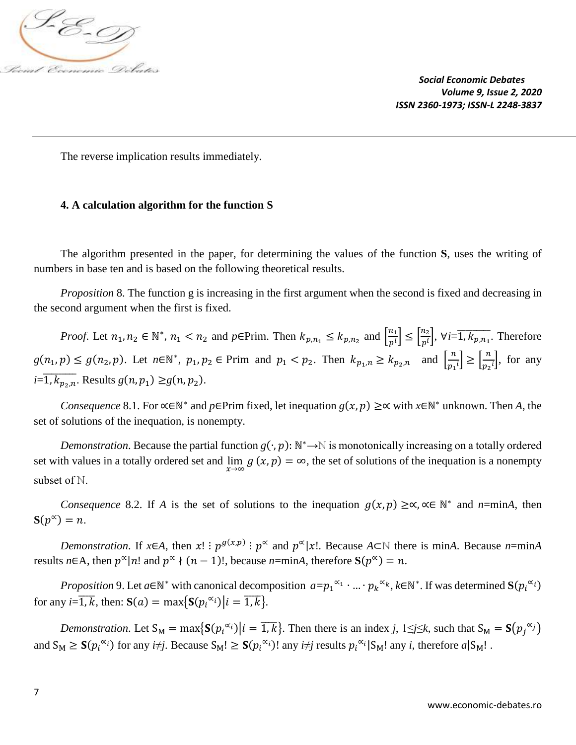

The reverse implication results immediately.

## **4. A calculation algorithm for the function S**

The algorithm presented in the paper, for determining the values of the function **S**, uses the writing of numbers in base ten and is based on the following theoretical results.

*Proposition* 8. The function g is increasing in the first argument when the second is fixed and decreasing in the second argument when the first is fixed.

*Proof.* Let  $n_1, n_2 \in \mathbb{N}^*$ ,  $n_1 < n_2$  and  $p \in \text{Prim}$ . Then  $k_{p,n_1} \leq k_{p,n_2}$  and  $\left[\frac{n_1}{n^i}\right]$  $\left[\frac{n_1}{p^i}\right] \leq \left[\frac{n_2}{p^i}\right]$  $\left[\frac{m_2}{p^i}\right]$ ,  $\forall i = \overline{1, k_{p,n_1}}$ . Therefore  $g(n_1, p) \le g(n_2, p)$ . Let  $n \in \mathbb{N}^*$ ,  $p_1, p_2 \in \text{Prim}$  and  $p_1 < p_2$ . Then  $k_{p_1, n} \ge k_{p_2, n}$  and  $\left[\frac{n}{p_1}\right]$  $\left[\frac{n}{p_1}i\right] \ge \left[\frac{n}{p_2}\right]$  $\frac{n}{p_2 i}$ , for any  $i=\overline{1, k_{p_2,n}}$ . Results  $g(n, p_1) \geq g(n, p_2)$ .

*Consequence* 8.1. For  $\propto \in \mathbb{N}^*$  and *p*∈Prim fixed, let inequation  $g(x, p) \geq \propto$  with *x*∈N<sup>\*</sup> unknown. Then *A*, the set of solutions of the inequation, is nonempty.

*Demonstration*. Because the partial function  $g(\cdot, p)$ : N<sup>\*</sup>→N is monotonically increasing on a totally ordered set with values in a totally ordered set and  $\lim_{x\to\infty} g(x, p) = \infty$ , the set of solutions of the inequation is a nonempty subset of N.

*Consequence* 8.2. If *A* is the set of solutions to the inequation  $g(x, p) \geq \alpha, \alpha \in \mathbb{N}^*$  and *n*=min*A*, then  $S(p^{\alpha}) = n$ .

*Demonstration*. If  $x \in A$ , then  $x! : p^{g(x,p)} : p^{\infty}$  and  $p^{\infty} |x!$ . Because  $A \subset \mathbb{N}$  there is min*A*. Because *n*=min*A* results  $n \in A$ , then  $p^{\alpha} | n!$  and  $p^{\alpha} \nmid (n-1)!$ , because  $n = \min A$ , therefore  $S(p^{\alpha}) = n$ .

*Proposition* 9. Let  $a \in \mathbb{N}^*$  with canonical decomposition  $a = p_1^{\alpha_1} \cdot ... \cdot p_k^{\alpha_k}$ ,  $k \in \mathbb{N}^*$ . If was determined  $S(p_i^{\alpha_i})$ for any  $i=\overline{1,k}$ , then:  $S(a) = \max\{S(p_i^{\alpha_i}) | i = \overline{1,k}\}.$ 

*Demonstration*. Let  $S_M = max\{S(p_i^{\alpha_i}) | i = \overline{1,k}\}$ . Then there is an index *j*,  $1 \le j \le k$ , such that  $S_M = S(p_j^{\alpha_j})$ and  $S_M \geq S(p_i^{\alpha_i})$  for any *i*≠*j*. Because  $S_M! \geq S(p_i^{\alpha_i})!$  any *i*≠*j* results  $p_i^{\alpha_i}|S_M!$  any *i*, therefore  $a|S_M!$ .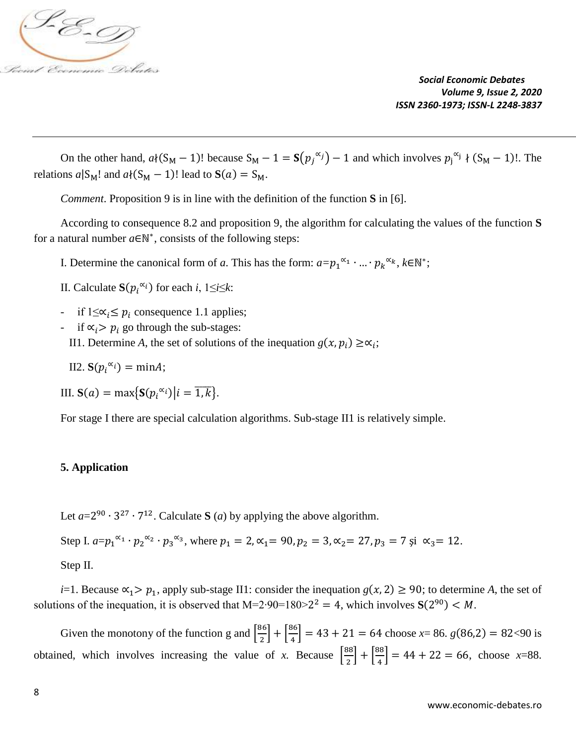

On the other hand,  $a \{(S_M - 1)$ ! because  $S_M - 1 = S(p_j^{\alpha_j}) - 1$  and which involves  $p_j^{\alpha_j} \{(S_M - 1) \}$ . The relations  $a|S_M!$  and  $a \{(S_M - 1)! \text{ lead to } S(a) = S_M$ .

*Comment*. Proposition 9 is in line with the definition of the function **S** in [6].

According to consequence 8.2 and proposition 9, the algorithm for calculating the values of the function **S** for a natural number  $a \in \mathbb{N}^*$ , consists of the following steps:

I. Determine the canonical form of *a*. This has the form:  $a=p_1^{\alpha_1} \cdot ... \cdot p_k^{\alpha_k}$ ,  $k \in \mathbb{N}^*$ ;

II. Calculate  $S(p_i^{\alpha_i})$  for each *i*, 1≤*i*≤*k*:

- if  $1 \leq \alpha_i \leq p_i$  consequence 1.1 applies;
- if  $\alpha$ <sub>i</sub> >  $p$ <sub>i</sub> go through the sub-stages:
- II1. Determine *A*, the set of solutions of the inequation  $g(x, p_i) \geq \alpha_i$ ;

II2.  $S(p_i^{\alpha_i}) = minA;$ 

III. **S**(*a*) = max{**S**( $p_i^{\alpha_i}$ )| $i = \overline{1,k}$ }.

For stage I there are special calculation algorithms. Sub-stage II1 is relatively simple.

## **5. Application**

Let  $a=2^{90} \cdot 3^{27} \cdot 7^{12}$ . Calculate S (*a*) by applying the above algorithm.

Step I. 
$$
a=p_1^{\alpha_1} \cdot p_2^{\alpha_2} \cdot p_3^{\alpha_3}
$$
, where  $p_1 = 2$ ,  $\alpha_1 = 90$ ,  $p_2 = 3$ ,  $\alpha_2 = 27$ ,  $p_3 = 7$  și  $\alpha_3 = 12$ .

Step II.

*i*=1. Because  $\alpha_1 > p_1$ , apply sub-stage II1: consider the inequation  $g(x, 2) \ge 90$ ; to determine *A*, the set of solutions of the inequation, it is observed that  $M=2.90=180>2^2 = 4$ , which involves  $S(2^{90}) < M$ .

Given the monotony of the function g and  $\frac{86}{3}$  $\left[\frac{36}{2}\right] + \left[\frac{86}{4}\right]$  $\left[\frac{36}{4}\right]$  = 43 + 21 = 64 choose *x*= 86. *g*(86,2) = 82<90 is obtained, which involves increasing the value of *x*. Because  $\frac{88}{3}$  $\left[\frac{38}{2}\right] + \left[\frac{88}{4}\right]$  $\left[\frac{36}{4}\right] = 44 + 22 = 66$ , choose *x*=88.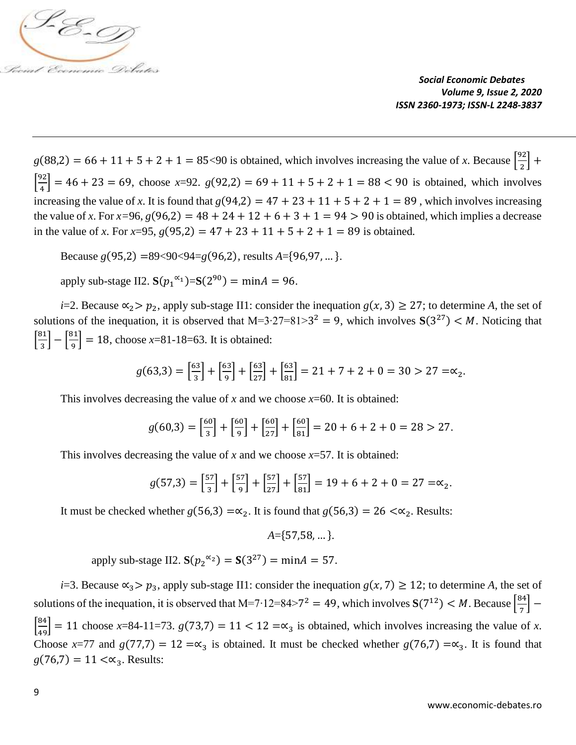

 $g(88,2) = 66 + 11 + 5 + 2 + 1 = 85$ <90 is obtained, which involves increasing the value of *x*. Because  $\frac{92}{3}$  $\frac{1}{2}$  +  $\left[\frac{92}{4}\right]$  $\left[\frac{32}{4}\right]$  = 46 + 23 = 69, choose x=92.  $g(92,2)$  = 69 + 11 + 5 + 2 + 1 = 88 < 90 is obtained, which involves increasing the value of *x*. It is found that  $g(94,2) = 47 + 23 + 11 + 5 + 2 + 1 = 89$ , which involves increasing the value of *x*. For  $x=96$ ,  $g(96,2) = 48 + 24 + 12 + 6 + 3 + 1 = 94 > 90$  is obtained, which implies a decrease in the value of *x*. For *x*=95,  $g(95,2) = 47 + 23 + 11 + 5 + 2 + 1 = 89$  is obtained.

Because *g*(95,2) =89<90<94=*g*(96,2), results *A*={96,97, … }.

apply sub-stage II2.  $S(p_1^{\alpha_1}) = S(2^{90}) = \text{min}A = 96$ .

*i*=2. Because  $\alpha_2 > p_2$ , apply sub-stage II1: consider the inequation  $g(x, 3) \ge 27$ ; to determine *A*, the set of solutions of the inequation, it is observed that M=3⋅27=81>3<sup>2</sup> = 9, which involves  $S(3^{27}) < M$ . Noticing that  $\left[\frac{81}{2}\right]$  $\frac{31}{3}$  -  $\frac{81}{9}$  $\left[\frac{32}{9}\right]$  = 18, choose x=81-18=63. It is obtained:

$$
g(63,3) = \left[\frac{63}{3}\right] + \left[\frac{63}{9}\right] + \left[\frac{63}{27}\right] + \left[\frac{63}{81}\right] = 21 + 7 + 2 + 0 = 30 > 27 = \infty_2.
$$

This involves decreasing the value of *x* and we choose  $x=60$ . It is obtained:

$$
g(60,3) = \left[\frac{60}{3}\right] + \left[\frac{60}{9}\right] + \left[\frac{60}{27}\right] + \left[\frac{60}{81}\right] = 20 + 6 + 2 + 0 = 28 > 27.
$$

This involves decreasing the value of  $x$  and we choose  $x=57$ . It is obtained:

$$
g(57,3) = \left[\frac{57}{3}\right] + \left[\frac{57}{9}\right] + \left[\frac{57}{27}\right] + \left[\frac{57}{81}\right] = 19 + 6 + 2 + 0 = 27 = \infty_2.
$$

It must be checked whether  $g(56,3) = \alpha_2$ . It is found that  $g(56,3) = 26 < \alpha_2$ . Results:

$$
A = \{57,58, \dots\}.
$$

apply sub-stage II2.  $S(p_2^{\alpha_2}) = S(3^{27}) = \text{min} A = 57$ .

*i*=3. Because  $\alpha_3$ >  $p_3$ , apply sub-stage II1: consider the inequation  $g(x, 7) \ge 12$ ; to determine *A*, the set of solutions of the inequation, it is observed that M=7⋅12=84>7<sup>2</sup> = 49, which involves  $S(7^{12}) < M$ . Because  $\frac{84}{\pi}$  $\left[\frac{34}{7}\right] \left[\frac{84}{49}\right]$  = 11 choose *x*=84-11=73.  $g(73,7) = 11 < 12 = \infty_3$  is obtained, which involves increasing the value of *x*. Choose *x*=77 and *g*(77,7) = 12 =∝<sub>3</sub> is obtained. It must be checked whether *g*(76,7) =∝<sub>3</sub>. It is found that  $g(76,7) = 11 < \propto_3$ . Results: